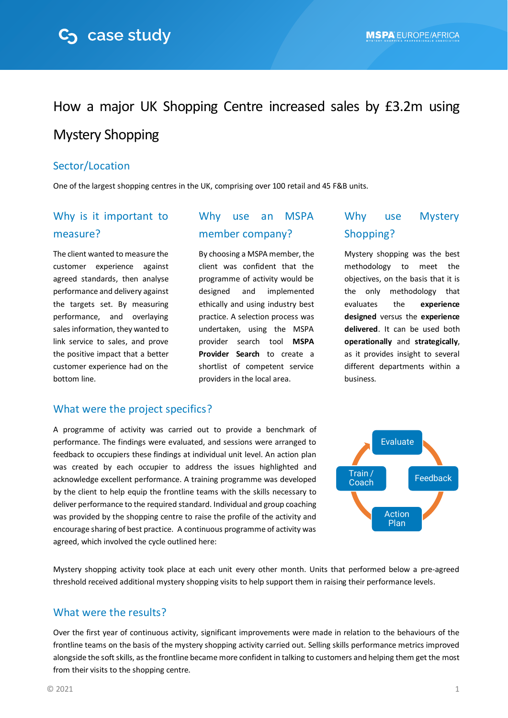# How a major UK Shopping Centre increased sales by £3.2m using Mystery Shopping

### Sector/Location

One of the largest shopping centres in the UK, comprising over 100 retail and 45 F&B units.

## Why is it important to measure?

The client wanted to measure the customer experience against agreed standards, then analyse performance and delivery against the targets set. By measuring performance, and overlaying sales information, they wanted to link service to sales, and prove the positive impact that a better customer experience had on the bottom line.

## Why use an MSPA member company?

By choosing a MSPA member, the client was confident that the programme of activity would be designed and implemented ethically and using industry best practice. A selection process was undertaken, using the MSPA provider search tool **[MSPA](https://mspa-ea.org/en_GB/search-mspa-companies.html)  [Provider Search](https://mspa-ea.org/en_GB/search-mspa-companies.html)** to create a shortlist of competent service providers in the local area.

## Why use Mystery Shopping?

Mystery shopping was the best methodology to meet the objectives, on the basis that it is the only methodology that evaluates the **experience designed** versus the **experience delivered**. It can be used both **operationally** and **strategically**, as it provides insight to several different departments within a business.

#### What were the project specifics?

A programme of activity was carried out to provide a benchmark of performance. The findings were evaluated, and sessions were arranged to feedback to occupiers these findings at individual unit level. An action plan was created by each occupier to address the issues highlighted and acknowledge excellent performance. A training programme was developed by the client to help equip the frontline teams with the skills necessary to deliver performance to the required standard. Individual and group coaching was provided by the shopping centre to raise the profile of the activity and encourage sharing of best practice. A continuous programme of activity was agreed, which involved the cycle outlined here:



Mystery shopping activity took place at each unit every other month. Units that performed below a pre-agreed threshold received additional mystery shopping visits to help support them in raising their performance levels.

#### What were the results?

Over the first year of continuous activity, significant improvements were made in relation to the behaviours of the frontline teams on the basis of the mystery shopping activity carried out. Selling skills performance metrics improved alongside the soft skills, as the frontline became more confident in talking to customers and helping them get the most from their visits to the shopping centre.